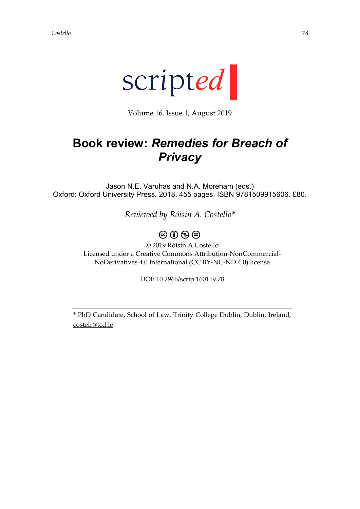

Volume 16, Issue 1, August 2019

# **Book review:** *Remedies for Breach of Privacy*

Jason N.E. Varuhas and N.A. Moreham (eds.) Oxford: Oxford University Press, 2018. 455 pages. ISBN 9781509915606. £80.

*Reviewed by Róisín A. Costello\**

## $\circledcirc$  (i)  $\circledcirc$   $\circledcirc$

© 2019 Róisín A Costello Licensed under a Creative Commons Attribution-NonCommercial-NoDerivatives 4.0 International (CC BY-NC-ND 4.0) license

DOI: 10.2966/scrip.160119.78

\* PhD Candidate, School of Law, Trinity College Dublin, Dublin, Ireland, [costelr@tcd.ie](mailto:costelr@tcd.ie)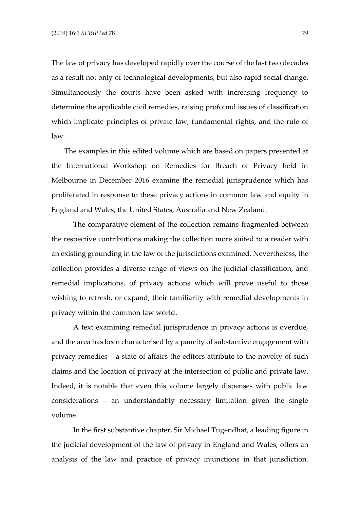The law of privacy has developed rapidly over the course of the last two decades as a result not only of technological developments, but also rapid social change. Simultaneously the courts have been asked with increasing frequency to determine the applicable civil remedies, raising profound issues of classification which implicate principles of private law, fundamental rights, and the rule of law.

The examples in this edited volume which are based on papers presented at the International Workshop on Remedies for Breach of Privacy held in Melbourne in December 2016 examine the remedial jurisprudence which has proliferated in response to these privacy actions in common law and equity in England and Wales, the United States, Australia and New Zealand.

The comparative element of the collection remains fragmented between the respective contributions making the collection more suited to a reader with an existing grounding in the law of the jurisdictions examined. Nevertheless, the collection provides a diverse range of views on the judicial classification, and remedial implications, of privacy actions which will prove useful to those wishing to refresh, or expand, their familiarity with remedial developments in privacy within the common law world.

A text examining remedial jurisprudence in privacy actions is overdue, and the area has been characterised by a paucity of substantive engagement with privacy remedies – a state of affairs the editors attribute to the novelty of such claims and the location of privacy at the intersection of public and private law. Indeed, it is notable that even this volume largely dispenses with public law considerations – an understandably necessary limitation given the single volume.

In the first substantive chapter, Sir Michael Tugendhat, a leading figure in the judicial development of the law of privacy in England and Wales, offers an analysis of the law and practice of privacy injunctions in that jurisdiction.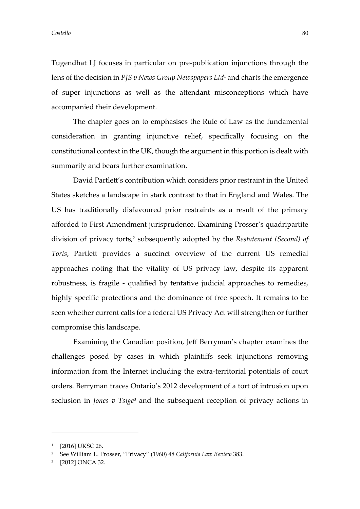Tugendhat LJ focuses in particular on pre-publication injunctions through the lens of the decision in *PJS v News Group Newspapers Ltd*<sup>1</sup> and charts the emergence of super injunctions as well as the attendant misconceptions which have accompanied their development.

The chapter goes on to emphasises the Rule of Law as the fundamental consideration in granting injunctive relief, specifically focusing on the constitutional context in the UK, though the argument in this portion is dealt with summarily and bears further examination.

David Partlett's contribution which considers prior restraint in the United States sketches a landscape in stark contrast to that in England and Wales. The US has traditionally disfavoured prior restraints as a result of the primacy afforded to First Amendment jurisprudence. Examining Prosser's quadripartite division of privacy torts,<sup>2</sup> subsequently adopted by the *Restatement (Second) of Torts*, Partlett provides a succinct overview of the current US remedial approaches noting that the vitality of US privacy law, despite its apparent robustness, is fragile - qualified by tentative judicial approaches to remedies, highly specific protections and the dominance of free speech. It remains to be seen whether current calls for a federal US Privacy Act will strengthen or further compromise this landscape.

Examining the Canadian position, Jeff Berryman's chapter examines the challenges posed by cases in which plaintiffs seek injunctions removing information from the Internet including the extra-territorial potentials of court orders. Berryman traces Ontario's 2012 development of a tort of intrusion upon seclusion in *Jones v Tsige*<sup>3</sup> and the subsequent reception of privacy actions in

-

<sup>1</sup> [2016] UKSC 26.

<sup>2</sup> See William L. Prosser, "Privacy" (1960) 48 *California Law Review* 383.

<sup>3</sup> [2012] ONCA 32.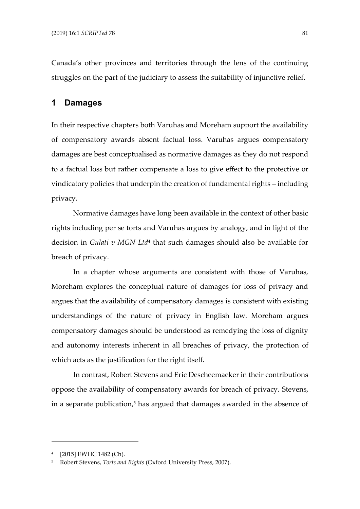Canada's other provinces and territories through the lens of the continuing struggles on the part of the judiciary to assess the suitability of injunctive relief.

#### **1 Damages**

In their respective chapters both Varuhas and Moreham support the availability of compensatory awards absent factual loss. Varuhas argues compensatory damages are best conceptualised as normative damages as they do not respond to a factual loss but rather compensate a loss to give effect to the protective or vindicatory policies that underpin the creation of fundamental rights – including privacy.

Normative damages have long been available in the context of other basic rights including per se torts and Varuhas argues by analogy, and in light of the decision in *Gulati v MGN Ltd* 4 that such damages should also be available for breach of privacy.

In a chapter whose arguments are consistent with those of Varuhas, Moreham explores the conceptual nature of damages for loss of privacy and argues that the availability of compensatory damages is consistent with existing understandings of the nature of privacy in English law. Moreham argues compensatory damages should be understood as remedying the loss of dignity and autonomy interests inherent in all breaches of privacy, the protection of which acts as the justification for the right itself.

In contrast, Robert Stevens and Eric Descheemaeker in their contributions oppose the availability of compensatory awards for breach of privacy. Stevens, in a separate publication, <sup>5</sup> has argued that damages awarded in the absence of

-

<sup>4</sup> [2015] EWHC 1482 (Ch).

<sup>5</sup> Robert Stevens, *Torts and Rights* (Oxford University Press, 2007).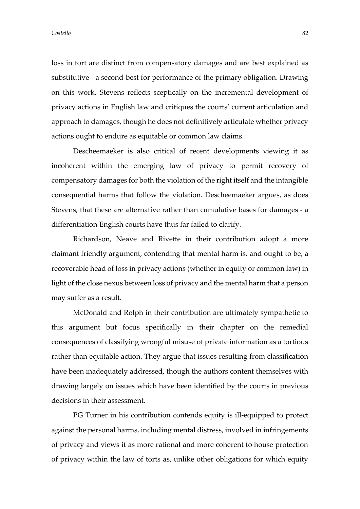loss in tort are distinct from compensatory damages and are best explained as substitutive - a second-best for performance of the primary obligation. Drawing on this work, Stevens reflects sceptically on the incremental development of privacy actions in English law and critiques the courts' current articulation and approach to damages, though he does not definitively articulate whether privacy actions ought to endure as equitable or common law claims.

Descheemaeker is also critical of recent developments viewing it as incoherent within the emerging law of privacy to permit recovery of compensatory damages for both the violation of the right itself and the intangible consequential harms that follow the violation. Descheemaeker argues, as does Stevens, that these are alternative rather than cumulative bases for damages - a differentiation English courts have thus far failed to clarify.

Richardson, Neave and Rivette in their contribution adopt a more claimant friendly argument, contending that mental harm is, and ought to be, a recoverable head of loss in privacy actions (whether in equity or common law) in light of the close nexus between loss of privacy and the mental harm that a person may suffer as a result.

McDonald and Rolph in their contribution are ultimately sympathetic to this argument but focus specifically in their chapter on the remedial consequences of classifying wrongful misuse of private information as a tortious rather than equitable action. They argue that issues resulting from classification have been inadequately addressed, though the authors content themselves with drawing largely on issues which have been identified by the courts in previous decisions in their assessment.

PG Turner in his contribution contends equity is ill-equipped to protect against the personal harms, including mental distress, involved in infringements of privacy and views it as more rational and more coherent to house protection of privacy within the law of torts as, unlike other obligations for which equity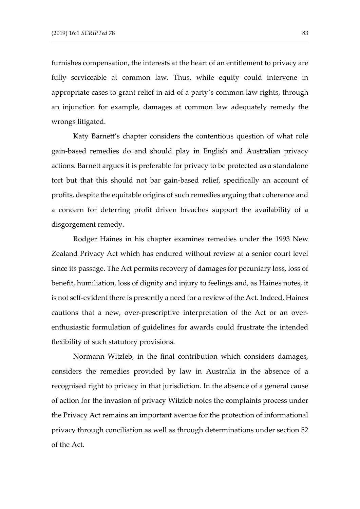furnishes compensation, the interests at the heart of an entitlement to privacy are fully serviceable at common law. Thus, while equity could intervene in appropriate cases to grant relief in aid of a party's common law rights, through an injunction for example, damages at common law adequately remedy the wrongs litigated.

Katy Barnett's chapter considers the contentious question of what role gain-based remedies do and should play in English and Australian privacy actions. Barnett argues it is preferable for privacy to be protected as a standalone tort but that this should not bar gain-based relief, specifically an account of profits, despite the equitable origins of such remedies arguing that coherence and a concern for deterring profit driven breaches support the availability of a disgorgement remedy.

Rodger Haines in his chapter examines remedies under the 1993 New Zealand Privacy Act which has endured without review at a senior court level since its passage. The Act permits recovery of damages for pecuniary loss, loss of benefit, humiliation, loss of dignity and injury to feelings and, as Haines notes, it is not self-evident there is presently a need for a review of the Act. Indeed, Haines cautions that a new, over-prescriptive interpretation of the Act or an overenthusiastic formulation of guidelines for awards could frustrate the intended flexibility of such statutory provisions.

Normann Witzleb, in the final contribution which considers damages, considers the remedies provided by law in Australia in the absence of a recognised right to privacy in that jurisdiction. In the absence of a general cause of action for the invasion of privacy Witzleb notes the complaints process under the Privacy Act remains an important avenue for the protection of informational privacy through conciliation as well as through determinations under section 52 of the Act.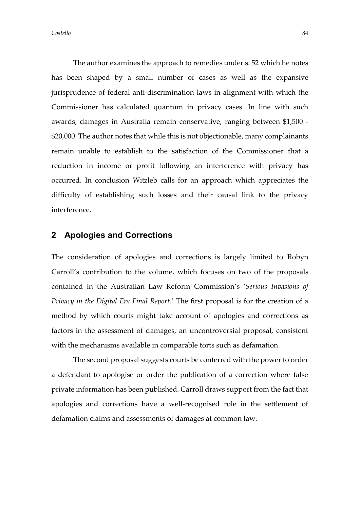The author examines the approach to remedies under s. 52 which he notes has been shaped by a small number of cases as well as the expansive jurisprudence of federal anti-discrimination laws in alignment with which the Commissioner has calculated quantum in privacy cases. In line with such awards, damages in Australia remain conservative, ranging between \$1,500 - \$20,000. The author notes that while this is not objectionable, many complainants remain unable to establish to the satisfaction of the Commissioner that a reduction in income or profit following an interference with privacy has occurred. In conclusion Witzleb calls for an approach which appreciates the difficulty of establishing such losses and their causal link to the privacy interference.

#### **2 Apologies and Corrections**

The consideration of apologies and corrections is largely limited to Robyn Carroll's contribution to the volume, which focuses on two of the proposals contained in the Australian Law Reform Commission's '*Serious Invasions of Privacy in the Digital Era Final Report*.' The first proposal is for the creation of a method by which courts might take account of apologies and corrections as factors in the assessment of damages, an uncontroversial proposal, consistent with the mechanisms available in comparable torts such as defamation.

The second proposal suggests courts be conferred with the power to order a defendant to apologise or order the publication of a correction where false private information has been published. Carroll draws support from the fact that apologies and corrections have a well-recognised role in the settlement of defamation claims and assessments of damages at common law.